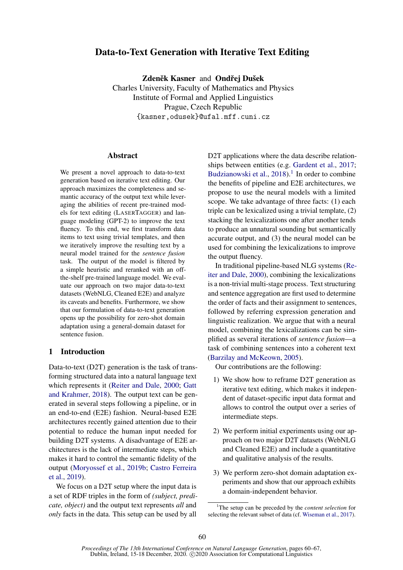# Data-to-Text Generation with Iterative Text Editing

Zdeněk Kasner and Ondřej Dušek

Charles University, Faculty of Mathematics and Physics Institute of Formal and Applied Linguistics Prague, Czech Republic {kasner,odusek}@ufal.mff.cuni.cz

# **Abstract**

We present a novel approach to data-to-text generation based on iterative text editing. Our approach maximizes the completeness and semantic accuracy of the output text while leveraging the abilities of recent pre-trained models for text editing (LASERTAGGER) and language modeling (GPT-2) to improve the text fluency. To this end, we first transform data items to text using trivial templates, and then we iteratively improve the resulting text by a neural model trained for the *sentence fusion* task. The output of the model is filtered by a simple heuristic and reranked with an offthe-shelf pre-trained language model. We evaluate our approach on two major data-to-text datasets (WebNLG, Cleaned E2E) and analyze its caveats and benefits. Furthermore, we show that our formulation of data-to-text generation opens up the possibility for zero-shot domain adaptation using a general-domain dataset for sentence fusion.

# 1 Introduction

Data-to-text (D2T) generation is the task of transforming structured data into a natural language text which represents it [\(Reiter and Dale,](#page-6-0) [2000;](#page-6-0) [Gatt](#page-5-0) [and Krahmer,](#page-5-0) [2018\)](#page-5-0). The output text can be generated in several steps following a pipeline, or in an end-to-end (E2E) fashion. Neural-based E2E architectures recently gained attention due to their potential to reduce the human input needed for building D2T systems. A disadvantage of E2E architectures is the lack of intermediate steps, which makes it hard to control the semantic fidelity of the output [\(Moryossef et al.,](#page-6-1) [2019b;](#page-6-1) [Castro Ferreira](#page-5-1) [et al.,](#page-5-1) [2019\)](#page-5-1).

We focus on a D2T setup where the input data is a set of RDF triples in the form of *(subject, predicate, object)* and the output text represents *all* and *only* facts in the data. This setup can be used by all

D2T applications where the data describe relationships between entities (e.g. [Gardent et al.,](#page-5-2) [2017;](#page-5-2) [Budzianowski et al.,](#page-5-3)  $2018$  $2018$  $2018$ ).<sup>1</sup> In order to combine the benefits of pipeline and E2E architectures, we propose to use the neural models with a limited scope. We take advantage of three facts: (1) each triple can be lexicalized using a trivial template, (2) stacking the lexicalizations one after another tends to produce an unnatural sounding but semantically accurate output, and (3) the neural model can be used for combining the lexicalizations to improve the output fluency.

In traditional pipeline-based NLG systems [\(Re](#page-6-0)[iter and Dale,](#page-6-0) [2000\)](#page-6-0), combining the lexicalizations is a non-trivial multi-stage process. Text structuring and sentence aggregation are first used to determine the order of facts and their assignment to sentences, followed by referring expression generation and linguistic realization. We argue that with a neural model, combining the lexicalizations can be simplified as several iterations of *sentence fusion*—a task of combining sentences into a coherent text [\(Barzilay and McKeown,](#page-5-4) [2005\)](#page-5-4).

Our contributions are the following:

- 1) We show how to reframe D2T generation as iterative text editing, which makes it independent of dataset-specific input data format and allows to control the output over a series of intermediate steps.
- 2) We perform initial experiments using our approach on two major D2T datasets (WebNLG and Cleaned E2E) and include a quantitative and qualitative analysis of the results.
- 3) We perform zero-shot domain adaptation experiments and show that our approach exhibits a domain-independent behavior.

<span id="page-0-0"></span><sup>1</sup>The setup can be preceded by the *content selection* for selecting the relevant subset of data (cf. [Wiseman et al.,](#page-7-0) [2017\)](#page-7-0).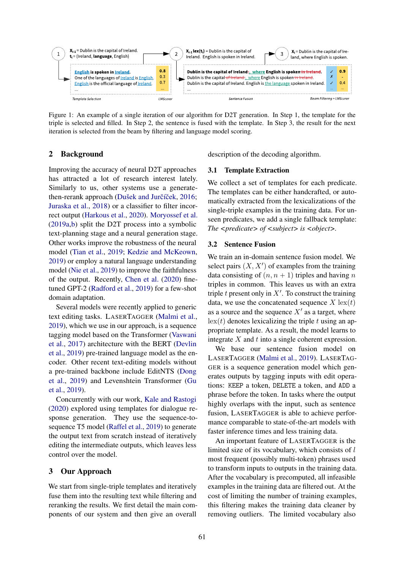<span id="page-1-0"></span>

Figure 1: An example of a single iteration of our algorithm for D2T generation. In Step 1, the template for the triple is selected and filled. In Step 2, the sentence is fused with the template. In Step 3, the result for the next iteration is selected from the beam by filtering and language model scoring.

# 2 Background

Improving the accuracy of neural D2T approaches has attracted a lot of research interest lately. Similarly to us, other systems use a generate-then-rerank approach (Dušek and Jurčíček, [2016;](#page-5-5) [Juraska et al.,](#page-6-2) [2018\)](#page-6-2) or a classifier to filter incorrect output [\(Harkous et al.,](#page-5-6) [2020\)](#page-5-6). [Moryossef et al.](#page-6-3) [\(2019a,](#page-6-3)[b\)](#page-6-1) split the D2T process into a symbolic text-planning stage and a neural generation stage. Other works improve the robustness of the neural model [\(Tian et al.,](#page-6-4) [2019;](#page-6-4) [Kedzie and McKeown,](#page-6-5) [2019\)](#page-6-5) or employ a natural language understanding model [\(Nie et al.,](#page-6-6) [2019\)](#page-6-6) to improve the faithfulness of the output. Recently, [Chen et al.](#page-5-7) [\(2020\)](#page-5-7) finetuned GPT-2 [\(Radford et al.,](#page-6-7) [2019\)](#page-6-7) for a few-shot domain adaptation.

Several models were recently applied to generic text editing tasks. LASERTAGGER [\(Malmi et al.,](#page-6-8) [2019\)](#page-6-8), which we use in our approach, is a sequence tagging model based on the Transformer [\(Vaswani](#page-6-9) [et al.,](#page-6-9) [2017\)](#page-6-9) architecture with the BERT [\(Devlin](#page-5-8) [et al.,](#page-5-8) [2019\)](#page-5-8) pre-trained language model as the encoder. Other recent text-editing models without a pre-trained backbone include EditNTS [\(Dong](#page-5-9) [et al.,](#page-5-9) [2019\)](#page-5-9) and Levenshtein Transformer [\(Gu](#page-5-10) [et al.,](#page-5-10) [2019\)](#page-5-10).

Concurrently with our work, [Kale and Rastogi](#page-6-10) [\(2020\)](#page-6-10) explored using templates for dialogue response generation. They use the sequence-tosequence T5 model [\(Raffel et al.,](#page-6-11) [2019\)](#page-6-11) to generate the output text from scratch instead of iteratively editing the intermediate outputs, which leaves less control over the model.

# 3 Our Approach

We start from single-triple templates and iteratively fuse them into the resulting text while filtering and reranking the results. We first detail the main components of our system and then give an overall description of the decoding algorithm.

### 3.1 Template Extraction

We collect a set of templates for each predicate. The templates can be either handcrafted, or automatically extracted from the lexicalizations of the single-triple examples in the training data. For unseen predicates, we add a single fallback template: *The <predicate> of <subject> is <object>.*

#### 3.2 Sentence Fusion

We train an in-domain sentence fusion model. We select pairs  $(X, X')$  of examples from the training data consisting of  $(n, n + 1)$  triples and having n triples in common. This leaves us with an extra triple  $t$  present only in  $X'$ . To construct the training data, we use the concatenated sequence  $X \text{lex}(t)$ as a source and the sequence  $X'$  as a target, where  $\text{lex}(t)$  denotes lexicalizing the triple t using an appropriate template. As a result, the model learns to integrate  $X$  and  $t$  into a single coherent expression.

We base our sentence fusion model on LASERTAGGER [\(Malmi et al.,](#page-6-8) [2019\)](#page-6-8). LASERTAG-GER is a sequence generation model which generates outputs by tagging inputs with edit operations: KEEP a token, DELETE a token, and ADD a phrase before the token. In tasks where the output highly overlaps with the input, such as sentence fusion, LASERTAGGER is able to achieve performance comparable to state-of-the-art models with faster inference times and less training data.

An important feature of LASERTAGGER is the limited size of its vocabulary, which consists of l most frequent (possibly multi-token) phrases used to transform inputs to outputs in the training data. After the vocabulary is precomputed, all infeasible examples in the training data are filtered out. At the cost of limiting the number of training examples, this filtering makes the training data cleaner by removing outliers. The limited vocabulary also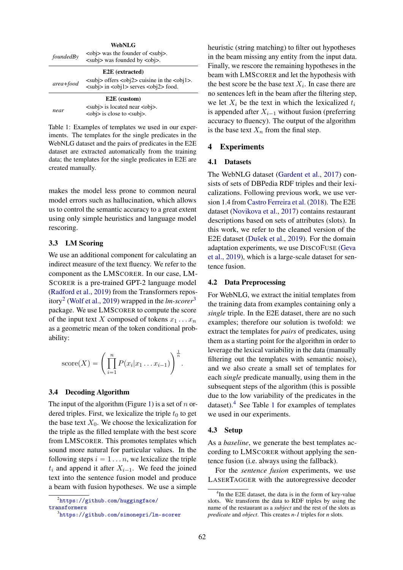<span id="page-2-3"></span>

| WebNLG          |                                                                                                                                                                                |  |  |  |  |  |
|-----------------|--------------------------------------------------------------------------------------------------------------------------------------------------------------------------------|--|--|--|--|--|
| foundedBy       | $\langle$ obj> was the founder of $\langle$ subj>.<br>$\langle$ subj> was founded by $\langle$ obj>.                                                                           |  |  |  |  |  |
| E2E (extracted) |                                                                                                                                                                                |  |  |  |  |  |
| area+food       | $\langle \text{subj} \rangle$ offers $\langle \text{obj2} \rangle$ cuisine in the $\langle \text{obj1} \rangle$ .<br><subj> in <obj1> serves <obj2> food.</obj2></obj1></subj> |  |  |  |  |  |
| E2E (custom)    |                                                                                                                                                                                |  |  |  |  |  |
| near            | $\langle$ subi $\rangle$ is located near $\langle$ obi $\rangle$ .<br>$\langle$ obj> is close to $\langle$ subj>.                                                              |  |  |  |  |  |

Table 1: Examples of templates we used in our experiments. The templates for the single predicates in the WebNLG dataset and the pairs of predicates in the E2E dataset are extracted automatically from the training data; the templates for the single predicates in E2E are created manually.

makes the model less prone to common neural model errors such as hallucination, which allows us to control the semantic accuracy to a great extent using only simple heuristics and language model rescoring.

### 3.3 LM Scoring

We use an additional component for calculating an indirect measure of the text fluency. We refer to the component as the LMSCORER. In our case, LM-SCORER is a pre-trained GPT-2 language model [\(Radford et al.,](#page-6-7) [2019\)](#page-6-7) from the Transformers repository[2](#page-2-0) [\(Wolf et al.,](#page-7-1) [2019\)](#page-7-1) wrapped in the *lm-scorer*[3](#page-2-1) package. We use LMSCORER to compute the score of the input text X composed of tokens  $x_1 \ldots x_n$ as a geometric mean of the token conditional probability:

score(X) = 
$$
\left(\prod_{i=1}^{n} P(x_i | x_1 ... x_{i-1})\right)^{\frac{1}{n}}
$$
.

#### 3.4 Decoding Algorithm

The input of the algorithm (Figure [1\)](#page-1-0) is a set of  $n$  ordered triples. First, we lexicalize the triple  $t_0$  to get the base text  $X_0$ . We choose the lexicalization for the triple as the filled template with the best score from LMSCORER. This promotes templates which sound more natural for particular values. In the following steps  $i = 1 \dots n$ , we lexicalize the triple  $t_i$  and append it after  $X_{i-1}$ . We feed the joined text into the sentence fusion model and produce a beam with fusion hypotheses. We use a simple heuristic (string matching) to filter out hypotheses in the beam missing any entity from the input data. Finally, we rescore the remaining hypotheses in the beam with LMSCORER and let the hypothesis with the best score be the base text  $X_i$ . In case there are no sentences left in the beam after the filtering step, we let  $X_i$  be the text in which the lexicalized  $t_i$ is appended after  $X_{i-1}$  without fusion (preferring accuracy to fluency). The output of the algorithm is the base text  $X_n$  from the final step.

#### 4 Experiments

# 4.1 Datasets

The WebNLG dataset [\(Gardent et al.,](#page-5-2) [2017\)](#page-5-2) consists of sets of DBPedia RDF triples and their lexicalizations. Following previous work, we use version 1.4 from [Castro Ferreira et al.](#page-5-11) [\(2018\)](#page-5-11). The E2E dataset [\(Novikova et al.,](#page-6-12) [2017\)](#page-6-12) contains restaurant descriptions based on sets of attributes (slots). In this work, we refer to the cleaned version of the E2E dataset [\(Dušek et al.,](#page-5-12) [2019\)](#page-5-12). For the domain adaptation experiments, we use DISCOFUSE [\(Geva](#page-5-13) [et al.,](#page-5-13) [2019\)](#page-5-13), which is a large-scale dataset for sentence fusion.

# 4.2 Data Preprocessing

For WebNLG, we extract the initial templates from the training data from examples containing only a *single* triple. In the E2E dataset, there are no such examples; therefore our solution is twofold: we extract the templates for *pairs* of predicates, using them as a starting point for the algorithm in order to leverage the lexical variability in the data (manually filtering out the templates with semantic noise), and we also create a small set of templates for each *single* predicate manually, using them in the subsequent steps of the algorithm (this is possible due to the low variability of the predicates in the dataset). $4$  See Table [1](#page-2-3) for examples of templates we used in our experiments.

#### 4.3 Setup

As a *baseline*, we generate the best templates according to LMSCORER without applying the sentence fusion (i.e. always using the fallback).

For the *sentence fusion* experiments, we use LASERTAGGER with the autoregressive decoder

<span id="page-2-0"></span><sup>2</sup> [https://github.com/huggingface/](https://github.com/huggingface/transformers) [transformers](https://github.com/huggingface/transformers)

<span id="page-2-1"></span><sup>3</sup> <https://github.com/simonepri/lm-scorer>

<span id="page-2-2"></span><sup>&</sup>lt;sup>4</sup>In the E2E dataset, the data is in the form of key-value slots. We transform the data to RDF triples by using the name of the restaurant as a *subject* and the rest of the slots as *predicate* and *object*. This creates *n-1* triples for *n* slots.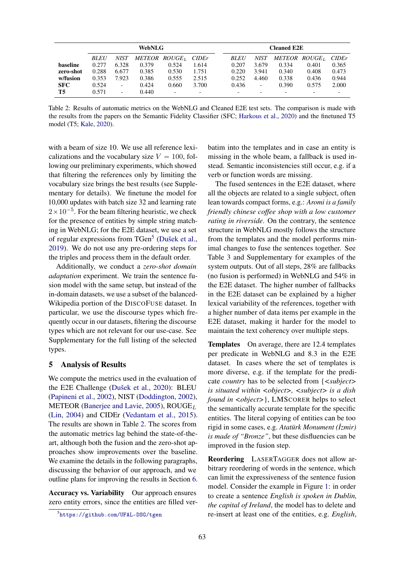<span id="page-3-1"></span>

|                 | <b>WebNLG</b> |                          |       |                           |                          | <b>Cleaned E2E</b> |       |                          |                      |       |  |
|-----------------|---------------|--------------------------|-------|---------------------------|--------------------------|--------------------|-------|--------------------------|----------------------|-------|--|
|                 | <b>BLEU</b>   | <b>NIST</b>              |       | METEOR ROUGE <sub>L</sub> | <b>CIDEr</b>             | <b>BLEU</b>        | NIST  |                          | <b>METEOR ROUGET</b> | CIDEr |  |
| <b>baseline</b> | 0.277         | 6.328                    | 0.379 | 0.524                     | 1.614                    | 0.207              | 3.679 | 0.334                    | 0.401                | 0.365 |  |
| zero-shot       | 0.288         | 6.677                    | 0.385 | 0.530                     | 1.751                    | 0.220              | 3.941 | 0.340                    | 0.408                | 0.473 |  |
| w/fusion        | 0.353         | 7.923                    | 0.386 | 0.555                     | 2.515                    | 0.252              | 4.460 | 0.338                    | 0.436                | 0.944 |  |
| <b>SFC</b>      | 0.524         | $\overline{\phantom{a}}$ | 0.424 | 0.660                     | 3.700                    | 0.436              | -     | 0.390                    | 0.575                | 2.000 |  |
| T5              | 0.571         | $\overline{\phantom{0}}$ | 0.440 | $\overline{\phantom{a}}$  | $\overline{\phantom{a}}$ | -                  |       | $\overline{\phantom{0}}$ | -                    |       |  |

Table 2: Results of automatic metrics on the WebNLG and Cleaned E2E test sets. The comparison is made with the results from the papers on the Semantic Fidelity Classifier (SFC; [Harkous et al.,](#page-5-6) [2020\)](#page-5-6) and the finetuned T5 model (T5; [Kale,](#page-6-13) [2020\)](#page-6-13).

with a beam of size 10. We use all reference lexicalizations and the vocabulary size  $V = 100$ , following our preliminary experiments, which showed that filtering the references only by limiting the vocabulary size brings the best results (see Supplementary for details). We finetune the model for 10,000 updates with batch size 32 and learning rate  $2 \times 10^{-5}$ . For the beam filtering heuristic, we check for the presence of entities by simple string matching in WebNLG; for the E2E dataset, we use a set of regular expressions from TGen<sup>[5](#page-3-0)</sup> [\(Dušek et al.,](#page-5-12) [2019\)](#page-5-12). We do not use any pre-ordering steps for the triples and process them in the default order.

Additionally, we conduct a *zero-shot domain adaptation* experiment. We train the sentence fusion model with the same setup, but instead of the in-domain datasets, we use a subset of the balanced-Wikipedia portion of the DISCOFUSE dataset. In particular, we use the discourse types which frequently occur in our datasets, filtering the discourse types which are not relevant for our use-case. See Supplementary for the full listing of the selected types.

### 5 Analysis of Results

We compute the metrics used in the evaluation of the E2E Challenge [\(Dušek et al.,](#page-5-14) [2020\)](#page-5-14): BLEU [\(Papineni et al.,](#page-6-14) [2002\)](#page-6-14), NIST [\(Doddington,](#page-5-15) [2002\)](#page-5-15), METEOR [\(Banerjee and Lavie,](#page-5-16) [2005\)](#page-5-16),  $ROUGE<sub>L</sub>$ [\(Lin,](#page-6-15) [2004\)](#page-6-15) and CIDEr [\(Vedantam et al.,](#page-6-16) [2015\)](#page-6-16). The results are shown in Table [2.](#page-3-1) The scores from the automatic metrics lag behind the state-of-theart, although both the fusion and the zero-shot approaches show improvements over the baseline. We examine the details in the following paragraphs, discussing the behavior of our approach, and we outline plans for improving the results in Section [6.](#page-4-0)

Accuracy vs. Variability Our approach ensures zero entity errors, since the entities are filled ver-

batim into the templates and in case an entity is missing in the whole beam, a fallback is used instead. Semantic inconsistencies still occur, e.g. if a verb or function words are missing.

The fused sentences in the E2E dataset, where all the objects are related to a single subject, often lean towards compact forms, e.g.: *Aromi is a family friendly chinese coffee shop with a low customer rating in riverside*. On the contrary, the sentence structure in WebNLG mostly follows the structure from the templates and the model performs minimal changes to fuse the sentences together. See Table [3](#page-4-1) and Supplementary for examples of the system outputs. Out of all steps, 28% are fallbacks (no fusion is performed) in WebNLG and 54% in the E2E dataset. The higher number of fallbacks in the E2E dataset can be explained by a higher lexical variability of the references, together with a higher number of data items per example in the E2E dataset, making it harder for the model to maintain the text coherency over multiple steps.

Templates On average, there are 12.4 templates per predicate in WebNLG and 8.3 in the E2E dataset. In cases where the set of templates is more diverse, e.g. if the template for the predicate *country* has to be selected from {*<subject> is situated within <object>, <subject> is a dish found in <object>*}, LMSCORER helps to select the semantically accurate template for the specific entities. The literal copying of entities can be too rigid in some cases, e.g. *Atatürk Monument (˙Izmir)* is made of "Bronze", but these disfluencies can be improved in the fusion step.

Reordering LASERTAGGER does not allow arbitrary reordering of words in the sentence, which can limit the expressiveness of the sentence fusion model. Consider the example in Figure [1:](#page-1-0) in order to create a sentence *English is spoken in Dublin, the capital of Ireland*, the model has to delete and re-insert at least one of the entities, e.g. *English*,

<span id="page-3-0"></span><sup>5</sup> <https://github.com/UFAL-DSG/tgen>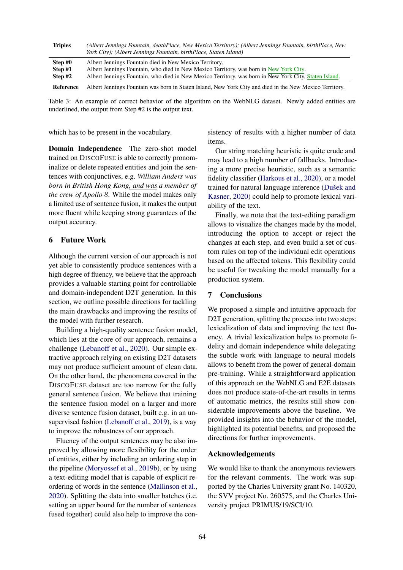<span id="page-4-1"></span>

| <b>Triples</b>                | (Albert Jennings Fountain, deathPlace, New Mexico Territory); (Albert Jennings Fountain, birthPlace, New<br>York City); (Albert Jennings Fountain, birthPlace, Staten Island)                                                                             |
|-------------------------------|-----------------------------------------------------------------------------------------------------------------------------------------------------------------------------------------------------------------------------------------------------------|
| Step #0<br>Step #1<br>Step #2 | Albert Jennings Fountain died in New Mexico Territory.<br>Albert Jennings Fountain, who died in New Mexico Territory, was born in New York City.<br>Albert Jennings Fountain, who died in New Mexico Territory, was born in New York City, Staten Island. |
| Reference                     | Albert Jennings Fountain was born in Staten Island, New York City and died in the New Mexico Territory.                                                                                                                                                   |

Table 3: An example of correct behavior of the algorithm on the WebNLG dataset. Newly added entities are underlined, the output from Step #2 is the output text.

which has to be present in the vocabulary.

Domain Independence The zero-shot model trained on DISCOFUSE is able to correctly pronominalize or delete repeated entities and join the sentences with conjunctives, e.g. *William Anders was born in British Hong Kong, and was a member of the crew of Apollo 8*. While the model makes only a limited use of sentence fusion, it makes the output more fluent while keeping strong guarantees of the output accuracy.

# <span id="page-4-0"></span>6 Future Work

Although the current version of our approach is not yet able to consistently produce sentences with a high degree of fluency, we believe that the approach provides a valuable starting point for controllable and domain-independent D2T generation. In this section, we outline possible directions for tackling the main drawbacks and improving the results of the model with further research.

Building a high-quality sentence fusion model, which lies at the core of our approach, remains a challenge [\(Lebanoff et al.,](#page-6-17) [2020\)](#page-6-17). Our simple extractive approach relying on existing D2T datasets may not produce sufficient amount of clean data. On the other hand, the phenomena covered in the DISCOFUSE dataset are too narrow for the fully general sentence fusion. We believe that training the sentence fusion model on a larger and more diverse sentence fusion dataset, built e.g. in an unsupervised fashion [\(Lebanoff et al.,](#page-6-18) [2019\)](#page-6-18), is a way to improve the robustness of our approach.

Fluency of the output sentences may be also improved by allowing more flexibility for the order of entities, either by including an ordering step in the pipeline [\(Moryossef et al.,](#page-6-1) [2019b\)](#page-6-1), or by using a text-editing model that is capable of explicit reordering of words in the sentence [\(Mallinson et al.,](#page-6-19) [2020\)](#page-6-19). Splitting the data into smaller batches (i.e. setting an upper bound for the number of sentences fused together) could also help to improve the consistency of results with a higher number of data items.

Our string matching heuristic is quite crude and may lead to a high number of fallbacks. Introducing a more precise heuristic, such as a semantic fidelity classifier [\(Harkous et al.,](#page-5-6) [2020\)](#page-5-6), or a model trained for natural language inference [\(Dušek and](#page-5-17) [Kasner,](#page-5-17) [2020\)](#page-5-17) could help to promote lexical variability of the text.

Finally, we note that the text-editing paradigm allows to visualize the changes made by the model, introducing the option to accept or reject the changes at each step, and even build a set of custom rules on top of the individual edit operations based on the affected tokens. This flexibility could be useful for tweaking the model manually for a production system.

### 7 Conclusions

We proposed a simple and intuitive approach for D<sub>2</sub>T generation, splitting the process into two steps: lexicalization of data and improving the text fluency. A trivial lexicalization helps to promote fidelity and domain independence while delegating the subtle work with language to neural models allows to benefit from the power of general-domain pre-training. While a straightforward application of this approach on the WebNLG and E2E datasets does not produce state-of-the-art results in terms of automatic metrics, the results still show considerable improvements above the baseline. We provided insights into the behavior of the model, highlighted its potential benefits, and proposed the directions for further improvements.

#### Acknowledgements

We would like to thank the anonymous reviewers for the relevant comments. The work was supported by the Charles University grant No. 140320, the SVV project No. 260575, and the Charles University project PRIMUS/19/SCI/10.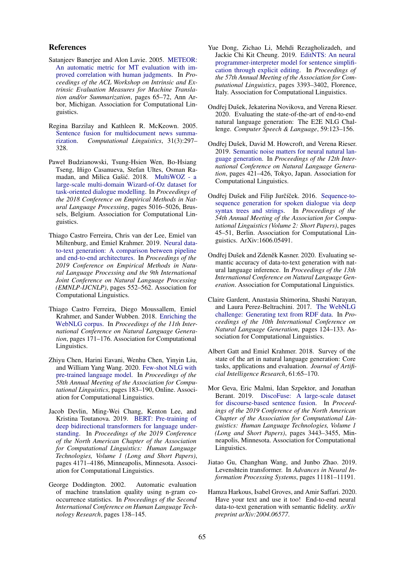#### References

- <span id="page-5-16"></span>Satanjeev Banerjee and Alon Lavie. 2005. [METEOR:](https://www.aclweb.org/anthology/W05-0909) [An automatic metric for MT evaluation with im](https://www.aclweb.org/anthology/W05-0909)[proved correlation with human judgments.](https://www.aclweb.org/anthology/W05-0909) In *Proceedings of the ACL Workshop on Intrinsic and Extrinsic Evaluation Measures for Machine Translation and/or Summarization*, pages 65–72, Ann Arbor, Michigan. Association for Computational Linguistics.
- <span id="page-5-4"></span>Regina Barzilay and Kathleen R. McKeown. 2005. [Sentence fusion for multidocument news summa](https://doi.org/10.1162/089120105774321091)[rization.](https://doi.org/10.1162/089120105774321091) *Computational Linguistics*, 31(3):297– 328.
- <span id="page-5-3"></span>Paweł Budzianowski, Tsung-Hsien Wen, Bo-Hsiang Tseng, Iñigo Casanueva, Stefan Ultes, Osman Ra-madan, and Milica Gašić. 2018. [MultiWOZ - a](https://doi.org/10.18653/v1/D18-1547) [large-scale multi-domain Wizard-of-Oz dataset for](https://doi.org/10.18653/v1/D18-1547) [task-oriented dialogue modelling.](https://doi.org/10.18653/v1/D18-1547) In *Proceedings of the 2018 Conference on Empirical Methods in Natural Language Processing*, pages 5016–5026, Brussels, Belgium. Association for Computational Linguistics.
- <span id="page-5-1"></span>Thiago Castro Ferreira, Chris van der Lee, Emiel van Miltenburg, and Emiel Krahmer. 2019. [Neural data](https://doi.org/10.18653/v1/D19-1052)[to-text generation: A comparison between pipeline](https://doi.org/10.18653/v1/D19-1052) [and end-to-end architectures.](https://doi.org/10.18653/v1/D19-1052) In *Proceedings of the 2019 Conference on Empirical Methods in Natural Language Processing and the 9th International Joint Conference on Natural Language Processing (EMNLP-IJCNLP)*, pages 552–562. Association for Computational Linguistics.
- <span id="page-5-11"></span>Thiago Castro Ferreira, Diego Moussallem, Emiel Krahmer, and Sander Wubben. 2018. [Enriching the](https://doi.org/10.18653/v1/W18-6521) [WebNLG corpus.](https://doi.org/10.18653/v1/W18-6521) In *Proceedings of the 11th International Conference on Natural Language Generation*, pages 171–176. Association for Computational Linguistics.
- <span id="page-5-7"></span>Zhiyu Chen, Harini Eavani, Wenhu Chen, Yinyin Liu, and William Yang Wang. 2020. [Few-shot NLG with](https://doi.org/10.18653/v1/2020.acl-main.18) [pre-trained language model.](https://doi.org/10.18653/v1/2020.acl-main.18) In *Proceedings of the 58th Annual Meeting of the Association for Computational Linguistics*, pages 183–190, Online. Association for Computational Linguistics.
- <span id="page-5-8"></span>Jacob Devlin, Ming-Wei Chang, Kenton Lee, and Kristina Toutanova. 2019. [BERT: Pre-training of](https://doi.org/10.18653/v1/N19-1423) [deep bidirectional transformers for language under](https://doi.org/10.18653/v1/N19-1423)[standing.](https://doi.org/10.18653/v1/N19-1423) In *Proceedings of the 2019 Conference of the North American Chapter of the Association for Computational Linguistics: Human Language Technologies, Volume 1 (Long and Short Papers)*, pages 4171–4186, Minneapolis, Minnesota. Association for Computational Linguistics.
- <span id="page-5-15"></span>George Doddington. 2002. Automatic evaluation of machine translation quality using n-gram cooccurrence statistics. In *Proceedings of the Second International Conference on Human Language Technology Research*, pages 138–145.
- <span id="page-5-9"></span>Yue Dong, Zichao Li, Mehdi Rezagholizadeh, and Jackie Chi Kit Cheung. 2019. [EditNTS: An neural](https://doi.org/10.18653/v1/P19-1331) [programmer-interpreter model for sentence simplifi](https://doi.org/10.18653/v1/P19-1331)[cation through explicit editing.](https://doi.org/10.18653/v1/P19-1331) In *Proceedings of the 57th Annual Meeting of the Association for Computational Linguistics*, pages 3393–3402, Florence, Italy. Association for Computational Linguistics.
- <span id="page-5-14"></span>Ondřej Dušek, Jekaterina Novikova, and Verena Rieser. 2020. Evaluating the state-of-the-art of end-to-end natural language generation: The E2E NLG Challenge. *Computer Speech & Language*, 59:123–156.
- <span id="page-5-12"></span>Ondřej Dušek, David M. Howcroft, and Verena Rieser. 2019. [Semantic noise matters for neural natural lan](https://doi.org/10.18653/v1/W19-8652)[guage generation.](https://doi.org/10.18653/v1/W19-8652) In *Proceedings of the 12th International Conference on Natural Language Generation*, pages 421–426, Tokyo, Japan. Association for Computational Linguistics.
- <span id="page-5-5"></span>Ondřej Dušek and Filip Jurčíček. 2016. [Sequence-to](https://doi.org/10.18653/v1/P16-2008)[sequence generation for spoken dialogue via deep](https://doi.org/10.18653/v1/P16-2008) [syntax trees and strings.](https://doi.org/10.18653/v1/P16-2008) In *Proceedings of the 54th Annual Meeting of the Association for Computational Linguistics (Volume 2: Short Papers)*, pages 45–51, Berlin. Association for Computational Linguistics. ArXiv:1606.05491.
- <span id="page-5-17"></span>Ondřej Dušek and Zdeněk Kasner. 2020. Evaluating semantic accuracy of data-to-text generation with natural language inference. In *Proceedings of the 13th International Conference on Natural Language Generation*. Association for Computational Linguistics.
- <span id="page-5-2"></span>Claire Gardent, Anastasia Shimorina, Shashi Narayan, and Laura Perez-Beltrachini. 2017. [The WebNLG](https://doi.org/10.18653/v1/W17-3518) [challenge: Generating text from RDF data.](https://doi.org/10.18653/v1/W17-3518) In *Proceedings of the 10th International Conference on Natural Language Generation*, pages 124–133. Association for Computational Linguistics.
- <span id="page-5-0"></span>Albert Gatt and Emiel Krahmer. 2018. Survey of the state of the art in natural language generation: Core tasks, applications and evaluation. *Journal of Artificial Intelligence Research*, 61:65–170.
- <span id="page-5-13"></span>Mor Geva, Eric Malmi, Idan Szpektor, and Jonathan Berant. 2019. [DiscoFuse: A large-scale dataset](https://doi.org/10.18653/v1/N19-1348) [for discourse-based sentence fusion.](https://doi.org/10.18653/v1/N19-1348) In *Proceedings of the 2019 Conference of the North American Chapter of the Association for Computational Linguistics: Human Language Technologies, Volume 1 (Long and Short Papers)*, pages 3443–3455, Minneapolis, Minnesota. Association for Computational Linguistics.
- <span id="page-5-10"></span>Jiatao Gu, Changhan Wang, and Junbo Zhao. 2019. Levenshtein transformer. In *Advances in Neural Information Processing Systems*, pages 11181–11191.
- <span id="page-5-6"></span>Hamza Harkous, Isabel Groves, and Amir Saffari. 2020. Have your text and use it too! End-to-end neural data-to-text generation with semantic fidelity. *arXiv preprint arXiv:2004.06577*.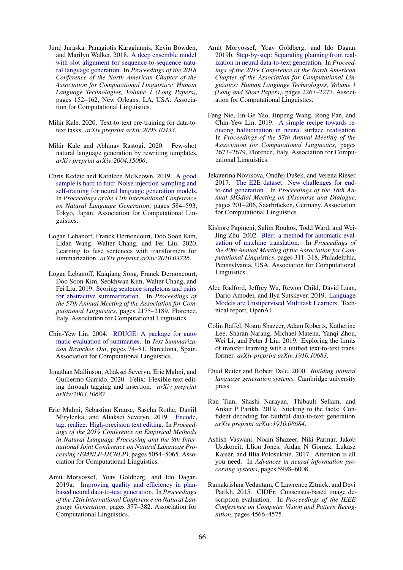- <span id="page-6-2"></span>Juraj Juraska, Panagiotis Karagiannis, Kevin Bowden, and Marilyn Walker. 2018. [A deep ensemble model](https://doi.org/10.18653/v1/N18-1014) [with slot alignment for sequence-to-sequence natu](https://doi.org/10.18653/v1/N18-1014)[ral language generation.](https://doi.org/10.18653/v1/N18-1014) In *Proceedings of the 2018 Conference of the North American Chapter of the Association for Computational Linguistics: Human Language Technologies, Volume 1 (Long Papers)*, pages 152–162, New Orleans, LA, USA. Association for Computational Linguistics.
- <span id="page-6-13"></span>Mihir Kale. 2020. Text-to-text pre-training for data-totext tasks. *arXiv preprint arXiv:2005.10433*.
- <span id="page-6-10"></span>Mihir Kale and Abhinav Rastogi. 2020. Few-shot natural language generation by rewriting templates. *arXiv preprint arXiv:2004.15006*.
- <span id="page-6-5"></span>Chris Kedzie and Kathleen McKeown. 2019. [A good](https://doi.org/10.18653/v1/W19-8672) [sample is hard to find: Noise injection sampling and](https://doi.org/10.18653/v1/W19-8672) [self-training for neural language generation models.](https://doi.org/10.18653/v1/W19-8672) In *Proceedings of the 12th International Conference on Natural Language Generation*, pages 584–593, Tokyo, Japan. Association for Computational Linguistics.
- <span id="page-6-17"></span>Logan Lebanoff, Franck Dernoncourt, Doo Soon Kim, Lidan Wang, Walter Chang, and Fei Liu. 2020. Learning to fuse sentences with transformers for summarization. *arXiv preprint arXiv:2010.03726*.
- <span id="page-6-18"></span>Logan Lebanoff, Kaiqiang Song, Franck Dernoncourt, Doo Soon Kim, Seokhwan Kim, Walter Chang, and Fei Liu. 2019. [Scoring sentence singletons and pairs](https://doi.org/10.18653/v1/P19-1209) [for abstractive summarization.](https://doi.org/10.18653/v1/P19-1209) In *Proceedings of the 57th Annual Meeting of the Association for Computational Linguistics*, pages 2175–2189, Florence, Italy. Association for Computational Linguistics.
- <span id="page-6-15"></span>Chin-Yew Lin. 2004. [ROUGE: A package for auto](https://www.aclweb.org/anthology/W04-1013)[matic evaluation of summaries.](https://www.aclweb.org/anthology/W04-1013) In *Text Summarization Branches Out*, pages 74–81, Barcelona, Spain. Association for Computational Linguistics.
- <span id="page-6-19"></span>Jonathan Mallinson, Aliaksei Severyn, Eric Malmi, and Guillermo Garrido. 2020. Felix: Flexible text editing through tagging and insertion. *arXiv preprint arXiv:2003.10687*.
- <span id="page-6-8"></span>Eric Malmi, Sebastian Krause, Sascha Rothe, Daniil Mirylenka, and Aliaksei Severyn. 2019. [Encode,](https://doi.org/10.18653/v1/D19-1510) [tag, realize: High-precision text editing.](https://doi.org/10.18653/v1/D19-1510) In *Proceedings of the 2019 Conference on Empirical Methods in Natural Language Processing and the 9th International Joint Conference on Natural Language Processing (EMNLP-IJCNLP)*, pages 5054–5065. Association for Computational Linguistics.
- <span id="page-6-3"></span>Amit Moryossef, Yoav Goldberg, and Ido Dagan. 2019a. [Improving quality and efficiency in plan](https://doi.org/10.18653/v1/W19-8645)[based neural data-to-text generation.](https://doi.org/10.18653/v1/W19-8645) In *Proceedings of the 12th International Conference on Natural Language Generation*, pages 377–382. Association for Computational Linguistics.
- <span id="page-6-1"></span>Amit Moryossef, Yoav Goldberg, and Ido Dagan. 2019b. [Step-by-step: Separating planning from real](https://doi.org/10.18653/v1/N19-1236)[ization in neural data-to-text generation.](https://doi.org/10.18653/v1/N19-1236) In *Proceedings of the 2019 Conference of the North American Chapter of the Association for Computational Linguistics: Human Language Technologies, Volume 1 (Long and Short Papers)*, pages 2267–2277. Association for Computational Linguistics.
- <span id="page-6-6"></span>Feng Nie, Jin-Ge Yao, Jinpeng Wang, Rong Pan, and Chin-Yew Lin. 2019. [A simple recipe towards re](https://doi.org/10.18653/v1/P19-1256)[ducing hallucination in neural surface realisation.](https://doi.org/10.18653/v1/P19-1256) In *Proceedings of the 57th Annual Meeting of the Association for Computational Linguistics*, pages 2673–2679, Florence, Italy. Association for Computational Linguistics.
- <span id="page-6-12"></span>Jekaterina Novikova, Ondřej Dušek, and Verena Rieser. 2017. [The E2E dataset: New challenges for end](https://doi.org/10.18653/v1/W17-5525)[to-end generation.](https://doi.org/10.18653/v1/W17-5525) In *Proceedings of the 18th Annual SIGdial Meeting on Discourse and Dialogue*, pages 201–206, Saarbrücken, Germany. Association for Computational Linguistics.
- <span id="page-6-14"></span>Kishore Papineni, Salim Roukos, Todd Ward, and Wei-Jing Zhu. 2002. [Bleu: a method for automatic eval](https://doi.org/10.3115/1073083.1073135)[uation of machine translation.](https://doi.org/10.3115/1073083.1073135) In *Proceedings of the 40th Annual Meeting of the Association for Computational Linguistics*, pages 311–318, Philadelphia, Pennsylvania, USA. Association for Computational Linguistics.
- <span id="page-6-7"></span>Alec Radford, Jeffrey Wu, Rewon Child, David Luan, Dario Amodei, and Ilya Sutskever. 2019. [Language](https://openai.com/blog/better-language-models/) [Models are Unsupervised Multitask Learners.](https://openai.com/blog/better-language-models/) Technical report, OpenAI.
- <span id="page-6-11"></span>Colin Raffel, Noam Shazeer, Adam Roberts, Katherine Lee, Sharan Narang, Michael Matena, Yanqi Zhou, Wei Li, and Peter J Liu. 2019. Exploring the limits of transfer learning with a unified text-to-text transformer. *arXiv preprint arXiv:1910.10683*.
- <span id="page-6-0"></span>Ehud Reiter and Robert Dale. 2000. *Building natural language generation systems*. Cambridge university press.
- <span id="page-6-4"></span>Ran Tian, Shashi Narayan, Thibault Sellam, and Ankur P Parikh. 2019. Sticking to the facts: Confident decoding for faithful data-to-text generation. *arXiv preprint arXiv:1910.08684*.
- <span id="page-6-9"></span>Ashish Vaswani, Noam Shazeer, Niki Parmar, Jakob Uszkoreit, Llion Jones, Aidan N Gomez, Łukasz Kaiser, and Illia Polosukhin. 2017. Attention is all you need. In *Advances in neural information processing systems*, pages 5998–6008.
- <span id="page-6-16"></span>Ramakrishna Vedantam, C Lawrence Zitnick, and Devi Parikh. 2015. CIDEr: Consensus-based image description evaluation. In *Proceedings of the IEEE Conference on Computer Vision and Pattern Recognition*, pages 4566–4575.